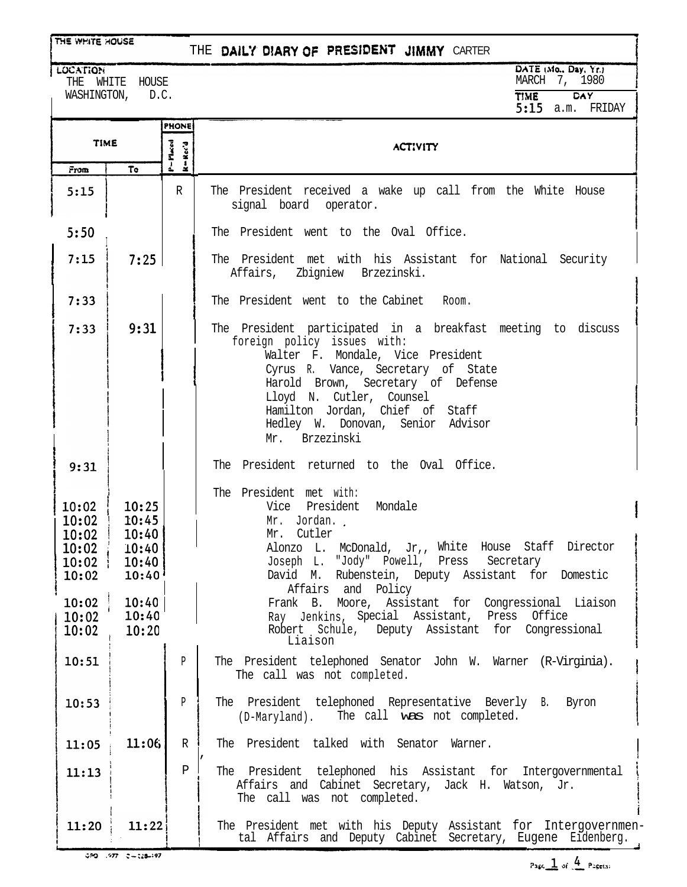LOCATION

## THE DAILY DIARY OF PRESIDENT JIMMY CARTER

THE WHITE HOUSE WASHINGTON, D.C. DATE (Mo., Day, Yr.) MARCH 7, 1980 **TIME DAY** 5:15 a.m. FRIDAY

|                                           |                                                                            | <b>PHONE</b>   |                                                                                                                                                                                                                                                                                                                                    |
|-------------------------------------------|----------------------------------------------------------------------------|----------------|------------------------------------------------------------------------------------------------------------------------------------------------------------------------------------------------------------------------------------------------------------------------------------------------------------------------------------|
| <b>TIME</b>                               |                                                                            | P=Maced<br>្លឹ | <b>ACTIVITY</b>                                                                                                                                                                                                                                                                                                                    |
| From                                      | To                                                                         | ż              |                                                                                                                                                                                                                                                                                                                                    |
| 5:15                                      |                                                                            | R              | The President received a wake up call from the White House<br>signal board operator.                                                                                                                                                                                                                                               |
| 5:50                                      |                                                                            |                | The President went to the Oval Office.                                                                                                                                                                                                                                                                                             |
| 7:15                                      | 7:25                                                                       |                | The President met with his Assistant for National Security<br>Affairs, Zbigniew Brzezinski.                                                                                                                                                                                                                                        |
| 7:33                                      |                                                                            |                | The President went to the Cabinet Room.                                                                                                                                                                                                                                                                                            |
| 7:33                                      | 9:31                                                                       |                | The President participated in a breakfast meeting to discuss<br>foreign policy issues with:<br>Walter F. Mondale, Vice President<br>Cyrus R. Vance, Secretary of State<br>Harold Brown, Secretary of Defense<br>Lloyd N. Cutler, Counsel<br>Hamilton Jordan, Chief of Staff<br>Hedley W. Donovan, Senior Advisor<br>Mr. Brzezinski |
| 9:31                                      |                                                                            |                | The President returned to the Oval Office.                                                                                                                                                                                                                                                                                         |
| 10:02<br>10:02<br>10:02<br>10:02<br>10:02 | 10:25<br>10:45<br>10:40<br>$10:02$ 10:40<br>10:40<br>$10:40^{\frac{1}{2}}$ |                | The President met with:<br>Vice President Mondale<br>Mr. Jordan.<br>Mr. Cutler<br>Alonzo L. McDonald, Jr,, White House Staff Director<br>Joseph L. "Jody" Powell, Press Secretary<br>Rubenstein, Deputy Assistant for Domestic<br>David M.                                                                                         |
| 10:02<br>110:02<br>10:02                  | 10:40<br>10:40<br>10:20                                                    |                | Affairs and Policy<br>Frank B. Moore, Assistant for Congressional Liaison<br>Ray Jenkins, Special Assistant, Press Office<br>Robert Schule, Deputy Assistant for Congressional<br>Liaison                                                                                                                                          |
| 10:51                                     |                                                                            | P              | The President telephoned Senator John W. Warner (R-Virginia).<br>The call was not completed.                                                                                                                                                                                                                                       |
| 10:53                                     |                                                                            | P              | The President telephoned Representative Beverly B. Byron<br>The call was not completed.<br>(D-Maryland).                                                                                                                                                                                                                           |
| 11:05                                     | 11:06                                                                      | $\mathbb{R}$   | The President talked with Senator Warner.                                                                                                                                                                                                                                                                                          |
| 11:13                                     |                                                                            | Ρ              | The President telephoned his Assistant for Intergovernmental<br>Affairs and Cabinet Secretary, Jack H. Watson, Jr.<br>The call was not completed.                                                                                                                                                                                  |
| 11:20                                     | 11:22                                                                      |                | The President met with his Deputy Assistant for Intergovernmen-<br>tal Affairs and Deputy Cabinet Secretary, Eugene Eidenberg.                                                                                                                                                                                                     |

 $350 - 977 = 2 + 128 + 197$ 

 $Pase \_$  of  $\_$  Pagets: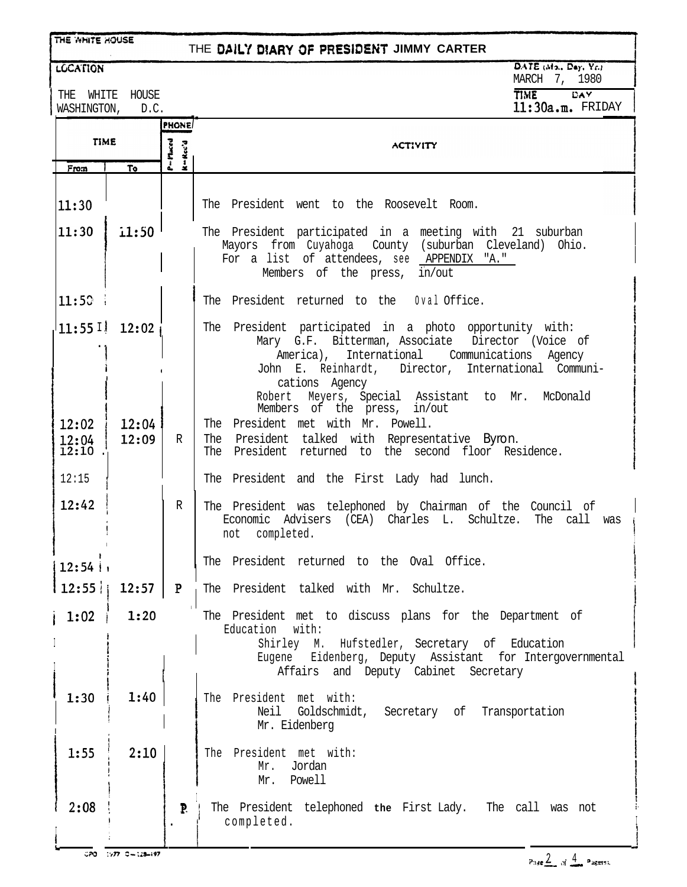| THE WHITE HOUSE                  |                |                                          | THE DAILY DIARY OF PRESIDENT JIMMY CARTER                                                                                                                                                                                                                                                  |  |  |
|----------------------------------|----------------|------------------------------------------|--------------------------------------------------------------------------------------------------------------------------------------------------------------------------------------------------------------------------------------------------------------------------------------------|--|--|
| <b>LCCATION</b>                  |                |                                          | DATE (Mo., Day, Yr.)<br>MARCH 7, 1980                                                                                                                                                                                                                                                      |  |  |
| THE<br>WHITE<br>WASHINGTON, D.C. | HOUSE          |                                          | <b>DAY</b><br><b>TIME</b><br>11:30a.m. FRIDAY                                                                                                                                                                                                                                              |  |  |
| <b>TIME</b><br>To<br>From        |                | <b>PHONE</b><br>$P = P$ laced<br>$-Rec'$ | <b>ACTIVITY</b>                                                                                                                                                                                                                                                                            |  |  |
| 11:30                            |                |                                          | The President went to the Roosevelt Room.                                                                                                                                                                                                                                                  |  |  |
| 11:30                            | 1:50           |                                          | The President participated in a meeting with 21 suburban<br>Mayors from Cuyahoga County (suburban Cleveland) Ohio.<br>For a list of attendees, see APPENDIX "A."<br>Members of the press, in/out                                                                                           |  |  |
| 11:50                            |                |                                          | The President returned to the 0val Office.                                                                                                                                                                                                                                                 |  |  |
| $11:551$ 12:02                   |                |                                          | The President participated in a photo opportunity with:<br>Mary G.F. Bitterman, Associate Director (Voice of<br>America), International Communications Agency<br>John E. Reinhardt, Director, International Communi-<br>cations Agency<br>Robert Meyers, Special Assistant to Mr. McDonald |  |  |
| 12:02<br>12:04<br>$12:10$ .      | 12:04<br>12:09 | $\mathbb{R}$                             | Members of the press, in/out<br>The President met with Mr. Powell.<br>The President talked with Representative Byron.<br>The President returned to the second floor Residence.                                                                                                             |  |  |
| 12:15                            |                |                                          | The President and the First Lady had lunch.                                                                                                                                                                                                                                                |  |  |
| 12:42                            |                | R                                        | The President was telephoned by Chairman of the Council of<br>Economic Advisers (CEA) Charles L. Schultze.<br>The call was<br>completed.<br>not                                                                                                                                            |  |  |
| 12:54                            |                |                                          | The President returned to the Oval Office.                                                                                                                                                                                                                                                 |  |  |
| 12:55                            | $12:57$ P      |                                          | The President talked with Mr. Schultze.                                                                                                                                                                                                                                                    |  |  |
| $1:02$ i                         | 1:20           |                                          | The President met to discuss plans for the Department of<br>Education with:<br>Shirley M. Hufstedler, Secretary of Education<br>Eugene Eidenberg, Deputy Assistant for Intergovernmental<br>Affairs and Deputy Cabinet Secretary                                                           |  |  |
| 1:30                             | 1:40           |                                          | The President met with:<br>Neil Goldschmidt, Secretary of Transportation<br>Mr. Eidenberg                                                                                                                                                                                                  |  |  |
| 1:55                             | 2:10           |                                          | The President met with:<br>Mr. Jordan<br>Mr. Powell                                                                                                                                                                                                                                        |  |  |
| 2:08                             |                | P.                                       | The President telephoned the First Lady. The call was not<br>completed.                                                                                                                                                                                                                    |  |  |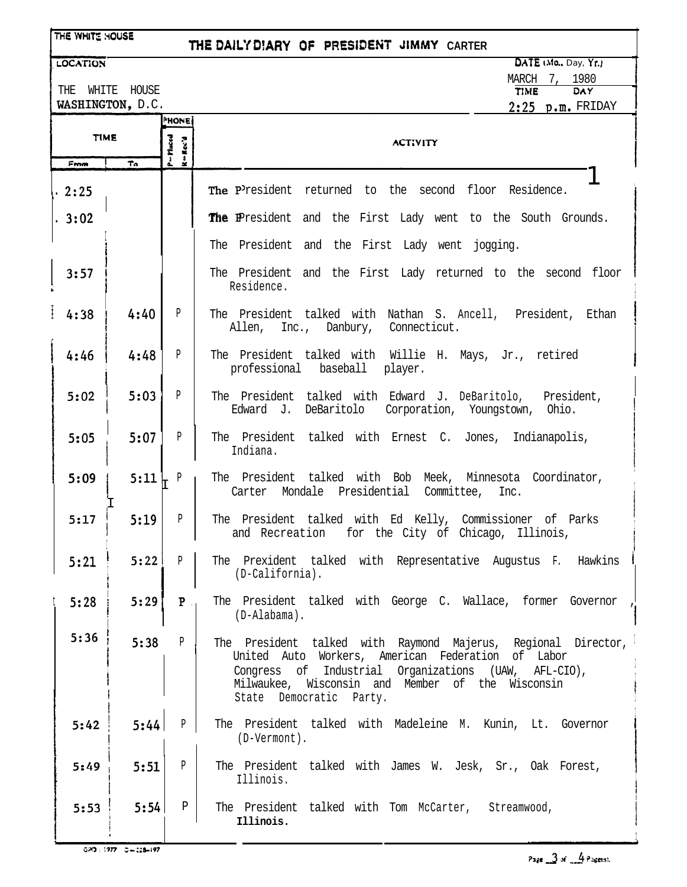| THE WHITE HOUSE |                                                                                                         |                        | THE DAILY DIARY OF PRESIDENT JIMMY CARTER                                                                                                                                                                                                                 |  |  |  |  |
|-----------------|---------------------------------------------------------------------------------------------------------|------------------------|-----------------------------------------------------------------------------------------------------------------------------------------------------------------------------------------------------------------------------------------------------------|--|--|--|--|
| <b>LOCATION</b> |                                                                                                         |                        | $\overline{\mathsf{DAIE}}$ (Mo., Day, Yr.)                                                                                                                                                                                                                |  |  |  |  |
|                 | MARCH 7, 1980<br>THE WHITE HOUSE<br><b>DAY</b><br><b>TIME</b><br>WASHINGTON, D.C.<br>$2:25$ p.m. FRIDAY |                        |                                                                                                                                                                                                                                                           |  |  |  |  |
|                 |                                                                                                         | <b>HONE</b>            |                                                                                                                                                                                                                                                           |  |  |  |  |
| <b>TIME</b>     |                                                                                                         | P=Placed<br>$R - Rec'$ | <b>ACTIVITY</b>                                                                                                                                                                                                                                           |  |  |  |  |
| From            | $T_0$                                                                                                   |                        |                                                                                                                                                                                                                                                           |  |  |  |  |
| .2:25           |                                                                                                         |                        | The President returned to the second floor Residence.                                                                                                                                                                                                     |  |  |  |  |
| .3:02           |                                                                                                         |                        | The President and the First Lady went to the South Grounds.                                                                                                                                                                                               |  |  |  |  |
|                 |                                                                                                         |                        | The President and the First Lady went jogging.                                                                                                                                                                                                            |  |  |  |  |
| 3:57            |                                                                                                         |                        | The President and the First Lady returned to the second floor<br>Residence.                                                                                                                                                                               |  |  |  |  |
| 4:38            | 4:40                                                                                                    | $\mathbf{P}$           | The President talked with Nathan S. Ancell, President, Ethan<br>Allen, Inc., Danbury, Connecticut.                                                                                                                                                        |  |  |  |  |
| 4:46            | 4:48                                                                                                    | P                      | The President talked with Willie H. Mays, Jr., retired<br>professional baseball player.                                                                                                                                                                   |  |  |  |  |
| 5:02            | 5:03                                                                                                    | P                      | The President talked with Edward J. DeBaritolo, President,<br>Edward J. DeBaritolo Corporation, Youngstown, Ohio.                                                                                                                                         |  |  |  |  |
| 5:05            | 5:07                                                                                                    | $\mathbf{P}$           | The President talked with Ernest C. Jones, Indianapolis,<br>Indiana.                                                                                                                                                                                      |  |  |  |  |
| 5:09            | $5:11$ $\downarrow$ P                                                                                   |                        | The President talked with Bob Meek, Minnesota Coordinator,<br>Carter Mondale Presidential Committee, Inc.                                                                                                                                                 |  |  |  |  |
| 5:17            | 5:19                                                                                                    | P                      | The President talked with Ed Kelly, Commissioner of Parks<br>and Recreation for the City of Chicago, Illinois,                                                                                                                                            |  |  |  |  |
| 5:21            | 5:22                                                                                                    | P                      | The Prexident talked with Representative Augustus F. Hawkins<br>(D-California).                                                                                                                                                                           |  |  |  |  |
| 5:28            | 5:29                                                                                                    | P                      | The President talked with George C. Wallace, former Governor<br>$(D-Alabama)$ .                                                                                                                                                                           |  |  |  |  |
| 5:36            | 5:38                                                                                                    | $\mathbb{P}$           | The President talked with Raymond Majerus, Regional Director,<br>United Auto Workers, American Federation of Labor<br>Congress of Industrial Organizations (UAW, AFL-CIO),<br>Milwaukee, Wisconsin and Member of the Wisconsin<br>State Democratic Party. |  |  |  |  |
| 5:42            | 5:44                                                                                                    | P                      | The President talked with Madeleine M. Kunin, Lt. Governor<br>(D-Vermont).                                                                                                                                                                                |  |  |  |  |
| 5:49            | 5:51                                                                                                    | $\mathbf{P}$           | The President talked with James W. Jesk, Sr., Oak Forest,<br>Illinois.                                                                                                                                                                                    |  |  |  |  |
| 5:53            | 5:54                                                                                                    | Ρ                      | The President talked with Tom McCarter, Streamwood,<br>Illinois.                                                                                                                                                                                          |  |  |  |  |